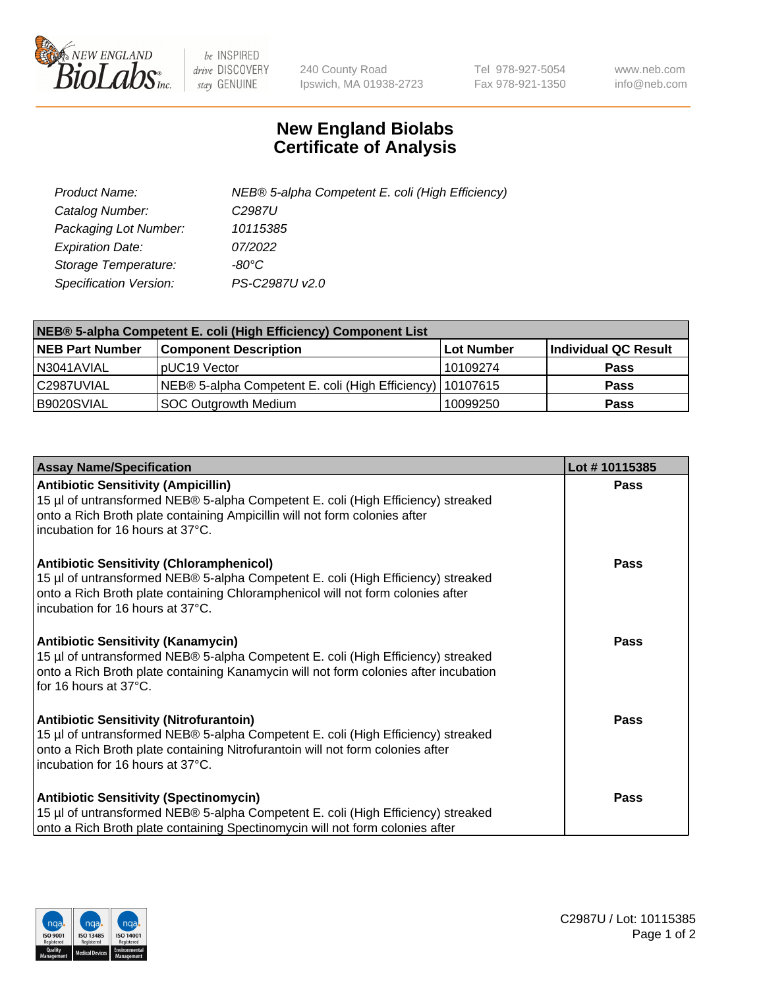

 $be$  INSPIRED drive DISCOVERY stay GENUINE

240 County Road Ipswich, MA 01938-2723 Tel 978-927-5054 Fax 978-921-1350 www.neb.com info@neb.com

## **New England Biolabs Certificate of Analysis**

| Product Name:           | NEB® 5-alpha Competent E. coli (High Efficiency) |
|-------------------------|--------------------------------------------------|
| Catalog Number:         | C <sub>2987</sub> U                              |
| Packaging Lot Number:   | 10115385                                         |
| <b>Expiration Date:</b> | 07/2022                                          |
| Storage Temperature:    | -80°C                                            |
| Specification Version:  | PS-C2987U v2.0                                   |

| NEB® 5-alpha Competent E. coli (High Efficiency) Component List |                                                             |            |                      |  |
|-----------------------------------------------------------------|-------------------------------------------------------------|------------|----------------------|--|
| <b>NEB Part Number</b>                                          | <b>Component Description</b>                                | Lot Number | Individual QC Result |  |
| N3041AVIAL                                                      | pUC19 Vector                                                | 10109274   | <b>Pass</b>          |  |
| C2987UVIAL                                                      | NEB® 5-alpha Competent E. coli (High Efficiency)   10107615 |            | <b>Pass</b>          |  |
| B9020SVIAL                                                      | SOC Outgrowth Medium                                        | 10099250   | <b>Pass</b>          |  |

| <b>Assay Name/Specification</b>                                                                                                                                                                                                                            | Lot #10115385 |
|------------------------------------------------------------------------------------------------------------------------------------------------------------------------------------------------------------------------------------------------------------|---------------|
| <b>Antibiotic Sensitivity (Ampicillin)</b><br>15 µl of untransformed NEB® 5-alpha Competent E. coli (High Efficiency) streaked<br>onto a Rich Broth plate containing Ampicillin will not form colonies after<br>incubation for 16 hours at 37°C.           | Pass          |
| <b>Antibiotic Sensitivity (Chloramphenicol)</b><br>15 µl of untransformed NEB® 5-alpha Competent E. coli (High Efficiency) streaked<br>onto a Rich Broth plate containing Chloramphenicol will not form colonies after<br>incubation for 16 hours at 37°C. | Pass          |
| <b>Antibiotic Sensitivity (Kanamycin)</b><br>15 µl of untransformed NEB® 5-alpha Competent E. coli (High Efficiency) streaked<br>onto a Rich Broth plate containing Kanamycin will not form colonies after incubation<br>for 16 hours at 37°C.             | Pass          |
| <b>Antibiotic Sensitivity (Nitrofurantoin)</b><br>15 µl of untransformed NEB® 5-alpha Competent E. coli (High Efficiency) streaked<br>onto a Rich Broth plate containing Nitrofurantoin will not form colonies after<br>incubation for 16 hours at 37°C.   | <b>Pass</b>   |
| <b>Antibiotic Sensitivity (Spectinomycin)</b><br>15 µl of untransformed NEB® 5-alpha Competent E. coli (High Efficiency) streaked<br>onto a Rich Broth plate containing Spectinomycin will not form colonies after                                         | Pass          |